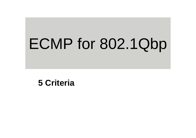# ECMP for 802.1Qbp

**5 Criteria**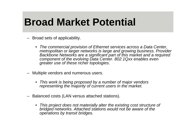#### **Broad Market Potential**

- Broad sets of applicability.
	- *The commercial provision of Ethernet services across a Data Center, metropolitan or larger networks is large and growing business. Provider Backbone Networks are a significant part of this market and a required component of the evolving Data Center. 802.1Qxx enables even greater use of these richer topologies.*
- – Multiple vendors and numerous users.
	- *This work is being proposed by a number of major vendors representing the majority of current users in the market.*
- Balanced costs (LAN versus attached stations).
	- *This project does not materially alter the existing cost structure of bridged networks. Attached stations would not be aware of the operations by transit bridges.*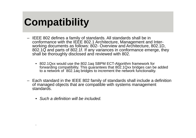# **Compatibility**

- IEEE 802 defines a family of standards. All standards shall be in conformance with the IEEE 802.1 Architecture, Management and Interworking documents as follows: 802- Overview and Architecture, 802.1D, 802.1Q and parts of 802.1f. If any variances in conformance emerge, they shall be thoroughly disclosed and reviewed with 802.
	- 802.1Qxx would use the 802.1aq SBPM ECT-Algorithm framework for forwarding compatibility. This guarantees that 802.1Qxx bridges can be added to a network of 802.1aq bridges to increment the network functionality.
- Each standard in the IEEE 802 family of standards shall include a definition of managed objects that are compatible with systems management standards.
	- *Such a definition will be included.*

.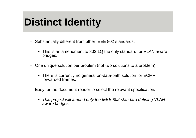# **Distinct Identity**

- Substantially different from other IEEE 802 standards.
	- This is an amendment to 802.1Q the only standard for VLAN aware bridges.
- One unique solution per problem (not two solutions to a problem).
	- There is currently no general on-data-path solution for ECMP forwarded frames.
- – Easy for the document reader to select the relevant specification*.*
	- • *This project will amend only the IEEE 802 standard defining VLAN aware bridges.*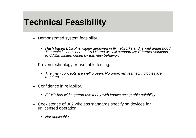#### **Technical Feasibility**

- Demonstrated system feasibility.
	- • *Hash based ECMP is widely deployed in IP networks and is well understood. The main issue is one of OA&M and we will standardize Ethernet solutions to OA&M issues raised by this new behavior.*
- Proven technology, reasonable testing.
	- • *The main concepts are well proven. No unproven test technologies are required.*
- Confidence in reliability.
	- *ECMP has wide spread use today with known acceptable reliability.*
- Coexistence of 802 wireless standards specifying devices for unlicensed operation.
	- •*Not applicable*